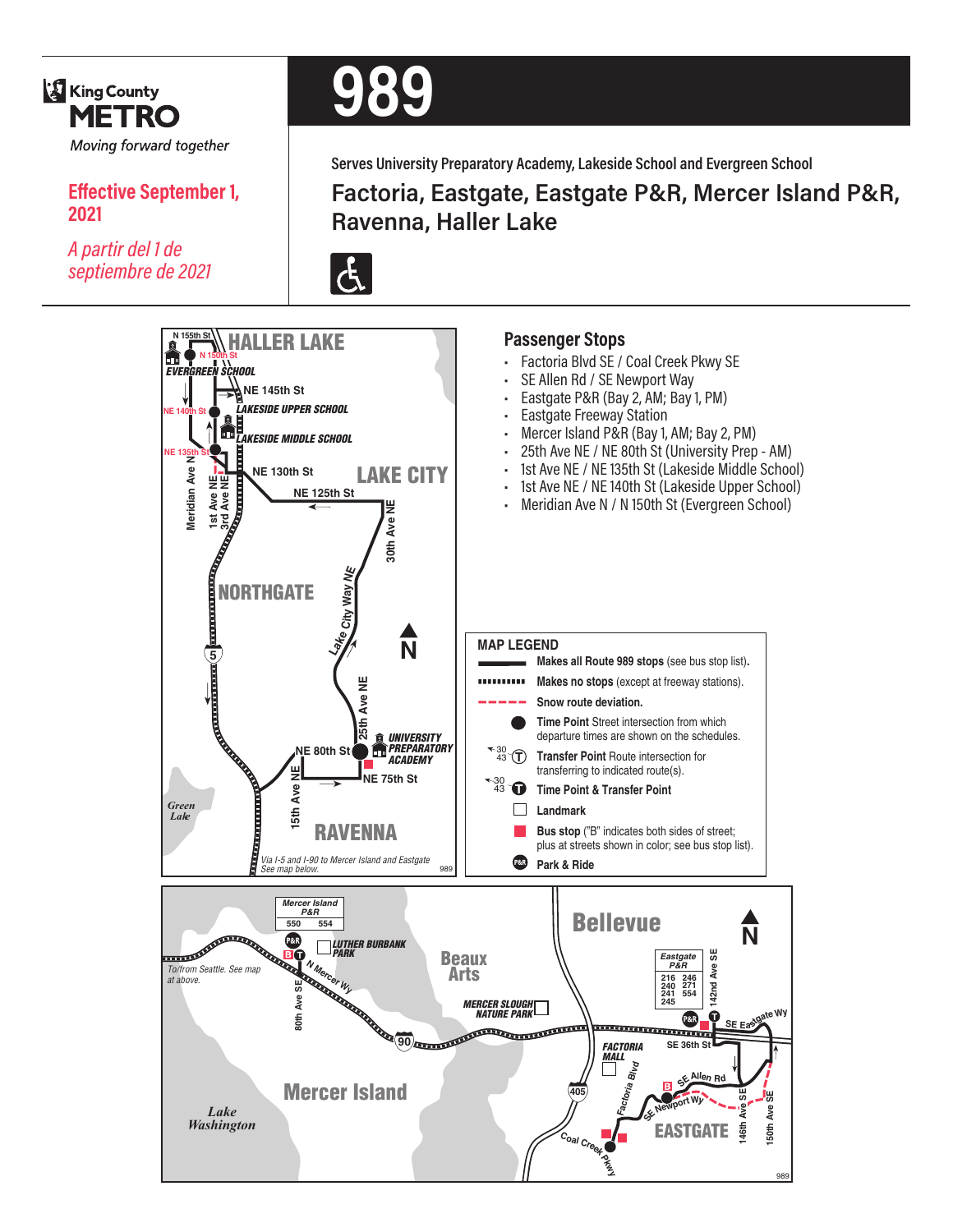

*A partir del 1 de septiembre de 2021*

**2021**

**Effective September 1,** 

# **989**

**Serves University Preparatory Academy, Lakeside School and Evergreen School**

**Factoria, Eastgate, Eastgate P&R, Mercer Island P&R, Ravenna, Haller Lake**